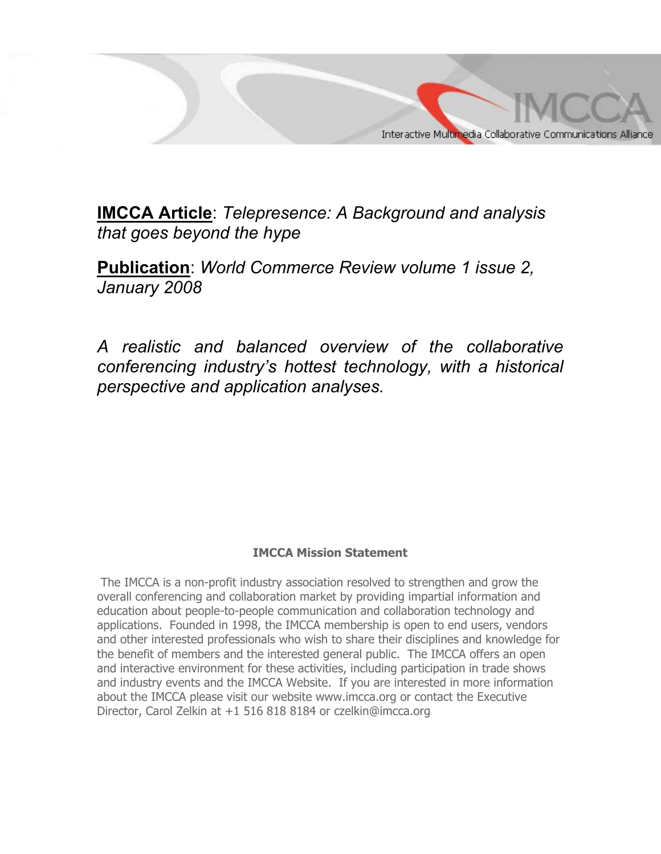

**IMCCA Article**: *Telepresence: A Background and analysis that goes beyond the hype* 

**Publication**: *World Commerce Review volume 1 issue 2, January 2008* 

*A realistic and balanced overview of the collaborative conferencing industry's hottest technology, with a historical perspective and application analyses.* 

#### **IMCCA Mission Statement**

 The IMCCA is a non-profit industry association resolved to strengthen and grow the overall conferencing and collaboration market by providing impartial information and education about people-to-people communication and collaboration technology and applications. Founded in 1998, the IMCCA membership is open to end users, vendors and other interested professionals who wish to share their disciplines and knowledge for the benefit of members and the interested general public. The IMCCA offers an open and interactive environment for these activities, including participation in trade shows and industry events and the IMCCA Website. If you are interested in more information about the IMCCA please visit our website www.imcca.org or contact the Executive Director, Carol Zelkin at +1 516 818 8184 or czelkin@imcca.org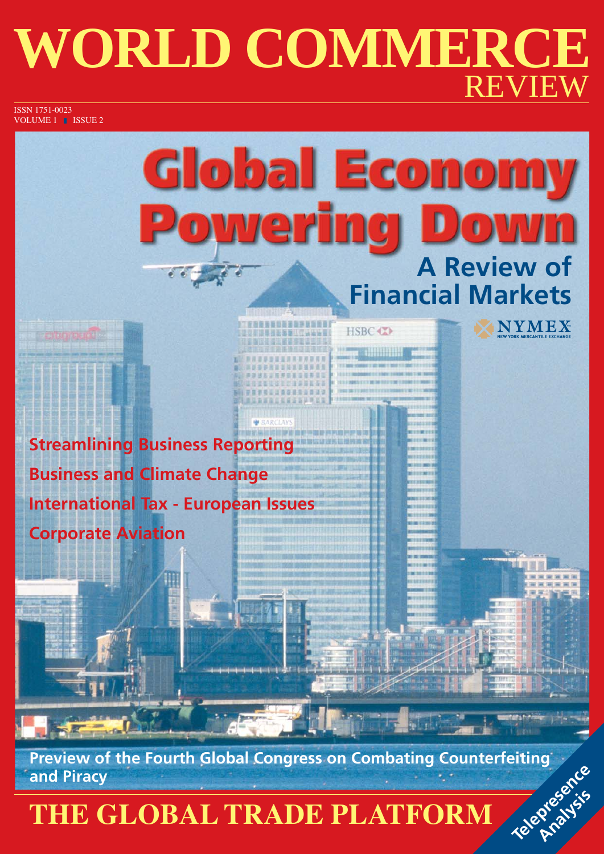# **WORLD COMMERCE REVIE**

ISSN 1751-0023 VOLUME 1 **ISSUE 2** 

# **Global Economy** Powering **A Review of Financial Markets**

HSBC (T)

**NYMEX** 

**Streamlining Business Reporting Business and Climate Change International Tax - European Issues Corporate Aviation**

**Preview of the Fourth Global Congress on Combating Counterfeiting Telephone** 

### **THE GLOBAL TRADE PLATFORM** and Piracy<br>THE GLOBAL TRADE PLATFORM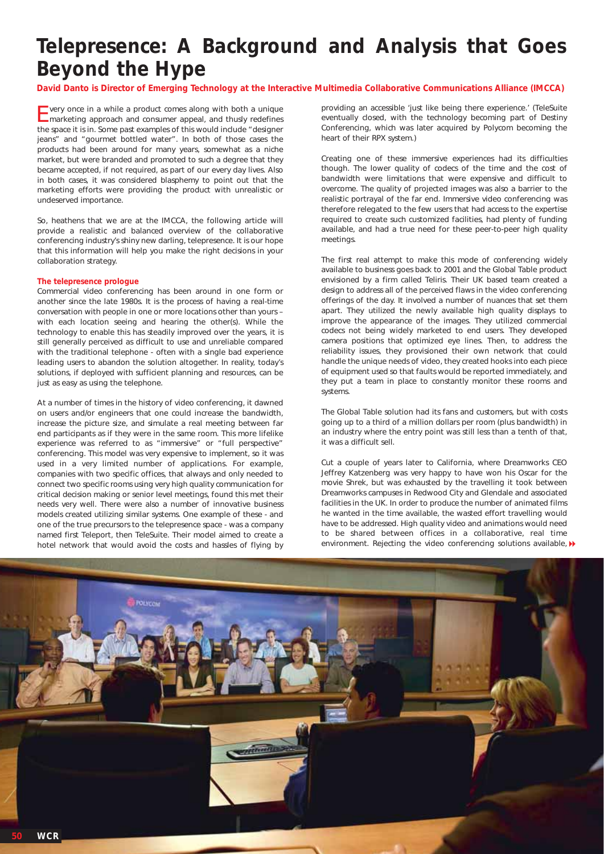### **Telepresence: A Background and Analysis that Goes Beyond the Hype**

**David Danto is Director of Emerging Technology at the Interactive Multimedia Collaborative Communications Alliance (IMCCA)**

Every once in a while a product comes along with both a unique marketing approach and consumer appeal, and thusly redefines the space it is in. Some past examples of this would include "designer jeans" and "gourmet bottled water". In both of those cases the products had been around for many years, somewhat as a niche market, but were branded and promoted to such a degree that they became accepted, if not required, as part of our every day lives. Also in both cases, it was considered blasphemy to point out that the marketing efforts were providing the product with unrealistic or undeserved importance.

So, heathens that we are at the IMCCA, the following article will provide a realistic and balanced overview of the collaborative conferencing industry's shiny new darling, telepresence. It is our hope that this information will help you make the right decisions in your collaboration strategy.

#### **The telepresence prologue**

Commercial video conferencing has been around in one form or another since the late 1980s. It is the process of having a real-time conversation with people in one or more locations other than yours – with each location seeing and hearing the other(s). While the technology to enable this has steadily improved over the years, it is still generally perceived as difficult to use and unreliable compared with the traditional telephone - often with a single bad experience leading users to abandon the solution altogether. In reality, today's solutions, if deployed with sufficient planning and resources, can be just as easy as using the telephone.

At a number of times in the history of video conferencing, it dawned on users and/or engineers that one could increase the bandwidth, increase the picture size, and simulate a real meeting between far end participants as if they were in the same room. This more lifelike experience was referred to as "immersive" or "full perspective" conferencing. This model was very expensive to implement, so it was used in a very limited number of applications. For example, companies with two specific offices, that always and only needed to connect two specific rooms using very high quality communication for critical decision making or senior level meetings, found this met their needs very well. There were also a number of innovative business models created utilizing similar systems. One example of these - and one of the true precursors to the telepresence space - was a company named first Teleport, then TeleSuite. Their model aimed to create a

providing an accessible 'just like being there experience.' (TeleSuite eventually closed, with the technology becoming part of Destiny Conferencing, which was later acquired by Polycom becoming the heart of their RPX system.)

Creating one of these immersive experiences had its difficulties though. The lower quality of codecs of the time and the cost of bandwidth were limitations that were expensive and difficult to overcome. The quality of projected images was also a barrier to the realistic portrayal of the far end. Immersive video conferencing was therefore relegated to the few users that had access to the expertise required to create such customized facilities, had plenty of funding available, and had a true need for these peer-to-peer high quality meetings.

The first real attempt to make this mode of conferencing widely available to business goes back to 2001 and the Global Table product envisioned by a firm called Teliris. Their UK based team created a design to address all of the perceived flaws in the video conferencing offerings of the day. It involved a number of nuances that set them apart. They utilized the newly available high quality displays to improve the appearance of the images. They utilized commercial codecs not being widely marketed to end users. They developed camera positions that optimized eye lines. Then, to address the reliability issues, they provisioned their own network that could handle the unique needs of video, they created hooks into each piece of equipment used so that faults would be reported immediately, and they put a team in place to constantly monitor these rooms and systems.

The Global Table solution had its fans and customers, but with costs going up to a third of a million dollars per room (plus bandwidth) in an industry where the entry point was still less than a tenth of that, it was a difficult sell.

Cut a couple of years later to California, where Dreamworks CEO Jeffrey Katzenberg was very happy to have won his Oscar for the movie Shrek, but was exhausted by the travelling it took between Dreamworks campuses in Redwood City and Glendale and associated facilities in the UK. In order to produce the number of animated films he wanted in the time available, the wasted effort travelling would have to be addressed. High quality video and animations would need to be shared between offices in a collaborative, real time hotel network that would avoid the costs and hassles of flying by environment. Rejecting the video conferencing solutions available,  $\blacktriangleright$ 

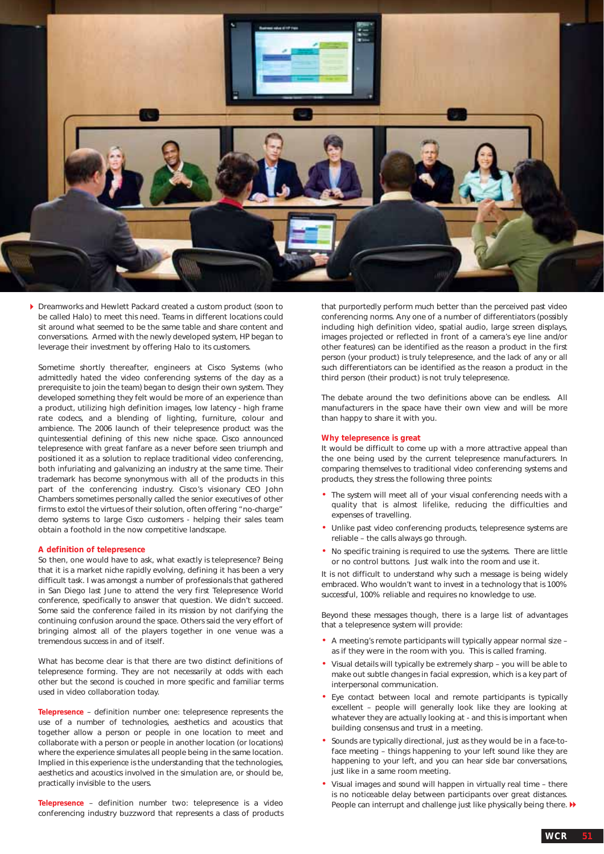

Dreamworks and Hewlett Packard created a custom product (soon to be called Halo) to meet this need. Teams in different locations could sit around what seemed to be the same table and share content and conversations. Armed with the newly developed system, HP began to leverage their investment by offering Halo to its customers.

Sometime shortly thereafter, engineers at Cisco Systems (who admittedly hated the video conferencing systems of the day as a prerequisite to join the team) began to design their own system. They developed something they felt would be more of an experience than a product, utilizing high definition images, low latency - high frame rate codecs, and a blending of lighting, furniture, colour and ambience. The 2006 launch of their telepresence product was the quintessential defining of this new niche space. Cisco announced telepresence with great fanfare as a never before seen triumph and positioned it as a solution to replace traditional video conferencing, both infuriating and galvanizing an industry at the same time. Their trademark has become synonymous with all of the products in this part of the conferencing industry. Cisco's visionary CEO John Chambers sometimes personally called the senior executives of other firms to extol the virtues of their solution, often offering "no-charge" demo systems to large Cisco customers - helping their sales team obtain a foothold in the now competitive landscape.

#### **A definition of telepresence**

So then, one would have to ask, what exactly is telepresence? Being that it is a market niche rapidly evolving, defining it has been a very difficult task. I was amongst a number of professionals that gathered in San Diego last June to attend the very first Telepresence World conference, specifically to answer that question. We didn't succeed. Some said the conference failed in its mission by not clarifying the continuing confusion around the space. Others said the very effort of bringing almost all of the players together in one venue was a tremendous success in and of itself.

What has become clear is that there are two distinct definitions of telepresence forming. They are not necessarily at odds with each other but the second is couched in more specific and familiar terms used in video collaboration today.

**Telepresence** – definition number one: telepresence represents the use of a number of technologies, aesthetics and acoustics that together allow a person or people in one location to meet and collaborate with a person or people in another location (or locations) where the experience simulates all people being in the same location. Implied in this experience is the understanding that the technologies, aesthetics and acoustics involved in the simulation are, or should be, practically invisible to the users.

**Telepresence** – definition number two: telepresence is a video conferencing industry buzzword that represents a class of products that purportedly perform much better than the perceived past video conferencing norms. Any one of a number of differentiators (possibly including high definition video, spatial audio, large screen displays, images projected or reflected in front of a camera's eye line and/or other features) can be identified as the reason a product in the first person (your product) is truly telepresence, and the lack of any or all such differentiators can be identified as the reason a product in the third person (their product) is not truly telepresence.

The debate around the two definitions above can be endless. All manufacturers in the space have their own view and will be more than happy to share it with you.

#### **Why telepresence is great**

It would be difficult to come up with a more attractive appeal than the one being used by the current telepresence manufacturers. In comparing themselves to traditional video conferencing systems and products, they stress the following three points:

- The system will meet all of your visual conferencing needs with a quality that is almost lifelike, reducing the difficulties and expenses of travelling.
- Unlike past video conferencing products, telepresence systems are reliable – the calls always go through.
- No specific training is required to use the systems. There are little or no control buttons. Just walk into the room and use it.

It is not difficult to understand why such a message is being widely embraced. Who wouldn't want to invest in a technology that is 100% successful, 100% reliable and requires no knowledge to use.

Beyond these messages though, there is a large list of advantages that a telepresence system will provide:

- A meeting's remote participants will typically appear normal size as if they were in the room with you. This is called framing.
- Visual details will typically be extremely sharp you will be able to make out subtle changes in facial expression, which is a key part of interpersonal communication.
- Eye contact between local and remote participants is typically excellent – people will generally look like they are looking at whatever they are actually looking at - and this is important when building consensus and trust in a meeting.
- Sounds are typically directional, just as they would be in a face-toface meeting – things happening to your left sound like they are happening to your left, and you can hear side bar conversations, just like in a same room meeting.
- Visual images and sound will happen in virtually real time there is no noticeable delay between participants over great distances. People can interrupt and challenge just like physically being there.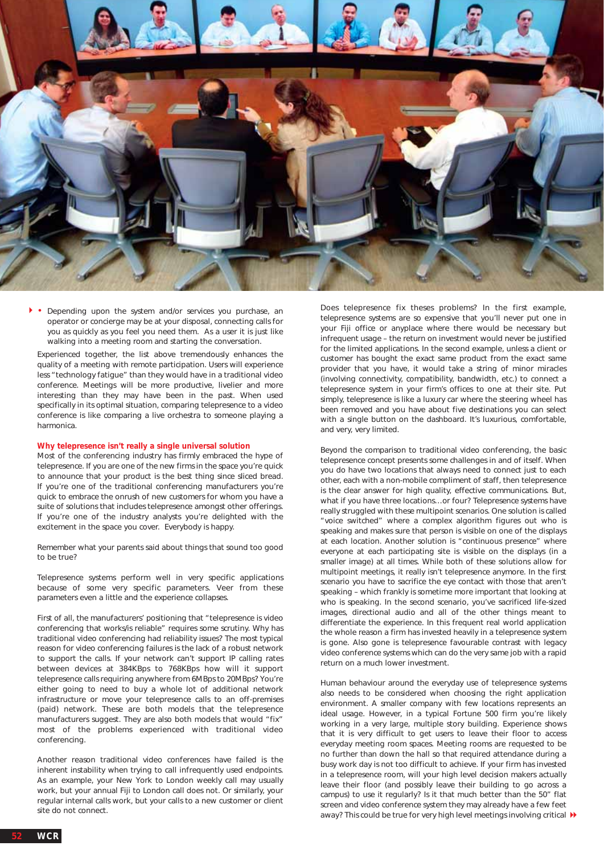

• Depending upon the system and/or services you purchase, an operator or concierge may be at your disposal, connecting calls for you as quickly as you feel you need them. As a user it is just like walking into a meeting room and starting the conversation.  $\mathbf{F}$ 

Experienced together, the list above tremendously enhances the quality of a meeting with remote participation. Users will experience less "technology fatigue" than they would have in a traditional video conference. Meetings will be more productive, livelier and more interesting than they may have been in the past. When used specifically in its optimal situation, comparing telepresence to a video conference is like comparing a live orchestra to someone playing a harmonica.

#### **Why telepresence isn't really a single universal solution**

Most of the conferencing industry has firmly embraced the hype of telepresence. If you are one of the new firms in the space you're quick to announce that your product is the best thing since sliced bread. If you're one of the traditional conferencing manufacturers you're quick to embrace the onrush of new customers for whom you have a suite of solutions that includes telepresence amongst other offerings. If you're one of the industry analysts you're delighted with the excitement in the space you cover. Everybody is happy.

Remember what your parents said about things that sound too good to be true?

Telepresence systems perform well in very specific applications because of some very specific parameters. Veer from these parameters even a little and the experience collapses.

First of all, the manufacturers' positioning that "telepresence is video conferencing that works/is reliable" requires some scrutiny. Why has traditional video conferencing had reliability issues? The most typical reason for video conferencing failures is the lack of a robust network to support the calls. If your network can't support IP calling rates between devices at 384KBps to 768KBps how will it support telepresence calls requiring anywhere from 6MBps to 20MBps? You're either going to need to buy a whole lot of additional network infrastructure or move your telepresence calls to an off-premises (paid) network. These are both models that the telepresence manufacturers suggest. They are also both models that would "fix" most of the problems experienced with traditional video conferencing.

Another reason traditional video conferences have failed is the inherent instability when trying to call infrequently used endpoints. As an example, your New York to London weekly call may usually work, but your annual Fiji to London call does not. Or similarly, your regular internal calls work, but your calls to a new customer or client site do not connect.

Does telepresence fix theses problems? In the first example, telepresence systems are so expensive that you'll never put one in your Fiji office or anyplace where there would be necessary but infrequent usage – the return on investment would never be justified for the limited applications. In the second example, unless a client or customer has bought the exact same product from the exact same provider that you have, it would take a string of minor miracles (involving connectivity, compatibility, bandwidth, etc.) to connect a telepresence system in your firm's offices to one at their site. Put simply, telepresence is like a luxury car where the steering wheel has been removed and you have about five destinations you can select with a single button on the dashboard. It's luxurious, comfortable, and very, very limited.

Beyond the comparison to traditional video conferencing, the basic telepresence concept presents some challenges in and of itself. When you do have two locations that always need to connect just to each other, each with a non-mobile compliment of staff, then telepresence is the clear answer for high quality, effective communications. But, what if you have three locations…or four? Telepresence systems have really struggled with these multipoint scenarios. One solution is called "voice switched" where a complex algorithm figures out who is speaking and makes sure that person is visible on one of the displays at each location. Another solution is "continuous presence" where everyone at each participating site is visible on the displays (in a smaller image) at all times. While both of these solutions allow for multipoint meetings, it really isn't telepresence anymore. In the first scenario you have to sacrifice the eye contact with those that aren't speaking – which frankly is sometime more important that looking at who is speaking. In the second scenario, you've sacrificed life-sized images, directional audio and all of the other things meant to differentiate the experience. In this frequent real world application the whole reason a firm has invested heavily in a telepresence system is gone. Also gone is telepresence favourable contrast with legacy video conference systems which can do the very same job with a rapid return on a much lower investment.

Human behaviour around the everyday use of telepresence systems also needs to be considered when choosing the right application environment. A smaller company with few locations represents an ideal usage. However, in a typical Fortune 500 firm you're likely working in a very large, multiple story building. Experience shows that it is very difficult to get users to leave their floor to access everyday meeting room spaces. Meeting rooms are requested to be no further than down the hall so that required attendance during a busy work day is not too difficult to achieve. If your firm has invested in a telepresence room, will your high level decision makers actually leave their floor (and possibly leave their building to go across a campus) to use it regularly? Is it that much better than the 50" flat screen and video conference system they may already have a few feet away? This could be true for very high level meetings involving critical  $\blacktriangleright$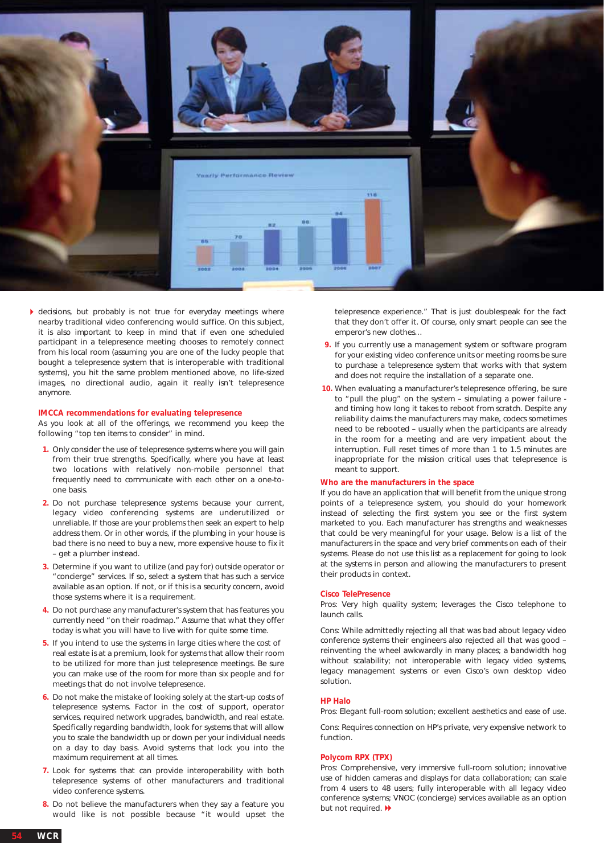

decisions, but probably is not true for everyday meetings where nearby traditional video conferencing would suffice. On this subject, it is also important to keep in mind that if even one scheduled participant in a telepresence meeting chooses to remotely connect from his local room (assuming you are one of the lucky people that bought a telepresence system that is interoperable with traditional systems), you hit the same problem mentioned above, no life-sized images, no directional audio, again it really isn't telepresence anymore.

#### **IMCCA recommendations for evaluating telepresence**

As you look at all of the offerings, we recommend you keep the following "top ten items to consider" in mind.

- **1.** Only consider the use of telepresence systems where you will gain from their true strengths. Specifically, where you have at least two locations with relatively non-mobile personnel that frequently need to communicate with each other on a one-toone basis.
- **2.** Do not purchase telepresence systems because your current, legacy video conferencing systems are underutilized or unreliable. If those are your problems then seek an expert to help address them. Or in other words, if the plumbing in your house is bad there is no need to buy a new, more expensive house to fix it – get a plumber instead.
- **3.** Determine if you want to utilize (and pay for) outside operator or "concierge" services. If so, select a system that has such a service available as an option. If not, or if this is a security concern, avoid those systems where it is a requirement.
- **4.** Do not purchase any manufacturer's system that has features you currently need "on their roadmap." Assume that what they offer today is what you will have to live with for quite some time.
- **5.** If you intend to use the systems in large cities where the cost of real estate is at a premium, look for systems that allow their room to be utilized for more than just telepresence meetings. Be sure you can make use of the room for more than six people and for meetings that do not involve telepresence.
- **6.** Do not make the mistake of looking solely at the start-up costs of telepresence systems. Factor in the cost of support, operator services, required network upgrades, bandwidth, and real estate. Specifically regarding bandwidth, look for systems that will allow you to scale the bandwidth up or down per your individual needs on a day to day basis. Avoid systems that lock you into the maximum requirement at all times.
- **7.** Look for systems that can provide interoperability with both telepresence systems of other manufacturers and traditional video conference systems.
- **8.** Do not believe the manufacturers when they say a feature you would like is not possible because "it would upset the

telepresence experience." That is just doublespeak for the fact that they don't offer it. *Of course, only smart people can see the emperor's new clothes…*

- **9.** If you currently use a management system or software program for your existing video conference units or meeting rooms be sure to purchase a telepresence system that works with that system and does not require the installation of a separate one.
- **10.** When evaluating a manufacturer's telepresence offering, be sure to "pull the plug" on the system – simulating a power failure and timing how long it takes to reboot from scratch. Despite any reliability claims the manufacturers may make, codecs sometimes need to be rebooted – usually when the participants are already in the room for a meeting and are very impatient about the interruption. Full reset times of more than 1 to 1.5 minutes are inappropriate for the mission critical uses that telepresence is meant to support.

#### **Who are the manufacturers in the space**

If you do have an application that will benefit from the unique strong points of a telepresence system, you should do your homework instead of selecting the first system you see or the first system marketed to you. Each manufacturer has strengths and weaknesses that could be very meaningful for your usage. Below is a list of the manufacturers in the space and very brief comments on each of their systems. Please do not use this list as a replacement for going to look at the systems in person and allowing the manufacturers to present their products in context.

#### **Cisco TelePresence**

Pros: Very high quality system; leverages the Cisco telephone to launch calls.

Cons: While admittedly rejecting all that was bad about legacy video conference systems their engineers also rejected all that was good – reinventing the wheel awkwardly in many places; a bandwidth hog without scalability; not interoperable with legacy video systems, legacy management systems or even Cisco's own desktop video solution.

#### **HP Halo**

Pros: Elegant full-room solution; excellent aesthetics and ease of use.

Cons: Requires connection on HP's private, very expensive network to function.

#### **Polycom RPX (TPX)**

Pros: Comprehensive, very immersive full-room solution; innovative use of hidden cameras and displays for data collaboration; can scale from 4 users to 48 users; fully interoperable with all legacy video conference systems; VNOC (concierge) services available as an option but not required.  $\blacktriangleright$